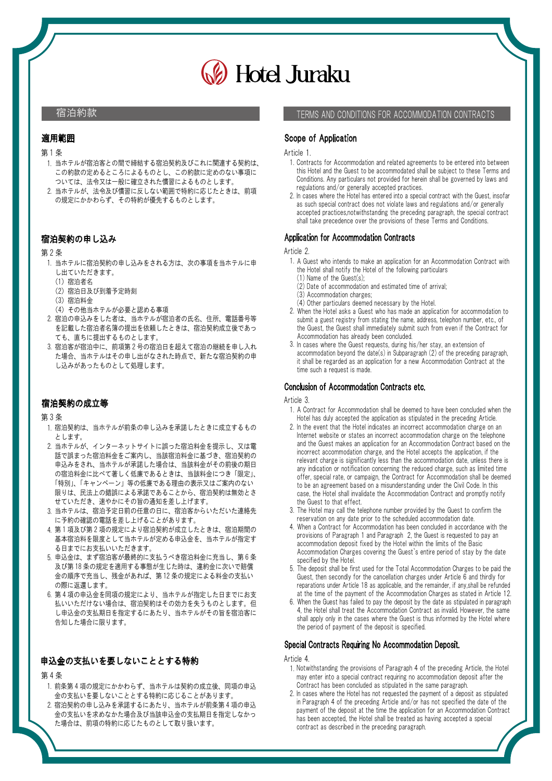# **B** Hotel Juraku

### 宿泊約款

## **適用範囲**<br>第 1 条<br>第 1 部) 適用範囲

- 1. 当ホテルが宿泊客との間で締結する宿泊契約及びこれに関連する契約は、 この約款の定めるところによるものとし、この約款に定めのない事項に ついては、法令又は一般に確立された慣習によるものとします。
- 2. 当ホテルが、法令及び慣習に反しない範囲で特約に応じたときは、前項 の規定にかかわらず、その特約が優先するものとします。

## **宿泊契約の申**<br>第 2 条<br>ブッシュー 宿泊契約の申し込み

- 1. 当ホテルに宿泊契約の申し込みをされる方は、次の事項を当ホテルに申 し出ていただきます。
	- (1) 宿泊者名
	- (2) 宿泊日及び到着予定時刻
	- (3) 宿泊料金
	- (4) その他当ホテルが必要と認める事項
- 2. 宿泊の申込みをした者は、当ホテルが宿泊者の氏名、住所、電話番号等 2. 宿泊の申込みをした者は、当ホテルが宿泊者の氏名、住所、電話番号等を記載した宿泊者名簿の提出を依頼したときは、宿泊契約成立後であっても、直ちに提出するものとします。<br>ても、直ちに提出するものとします。<br>3. 宿泊客。宿泊中に、前項第2号の宿泊日を超えて宿泊の継続を申し入れ<br>宿泊客。 を記載した宿泊者名簿の提出を依頼したときは、宿泊契約成立後であっ ても、直ちに提出するものとします。
- た場合、当ホテルはその申し出がなされた時点で、新たな宿泊契約の申 し込みがあったものとして処理します。

## **宿泊契約の成**<br>第 3 条<br>第 1 元/17/20 宿泊契約の成立等

- 1. 宿泊契約は、当ホテルが前条の申し込みを承諾したときに成立するもの とします。
- 2. 当ホテルが、インターネットサイトに誤った宿泊料金を提示し、又は電 話で誤まった宿泊料金をご案内し、当該宿泊料金に基づき、宿泊契約の 申込みをされ、当ホテルが承諾した場合は、当該料金がその前後の期日 の宿泊料金に比べて著しく低廉であるときは、当該料金につき「限定」、 「特別」、「キャンペーン」等の低廉である理由の表示又はご案内のない 限りは、民法上の錯誤による承諾であることから、宿泊契約は無効とさ せていただき、速やかにその旨の通知を差し上げます。
- 3. 当ホテルは、宿泊予定日前の任意の日に、宿泊客からいただいた連絡先 に予約の確認の電話を差し上げることがあります。 せていただき、速やかにその旨の通知を差し上げます。<br>当ホテルは、宿泊予定日前の任意の日に、宿泊客からいただいた連絡先<br>に予約の確認の電話を差し上げることがあります。<br>第1項及び第2項の規定により宿泊契約が成立したときは、宿泊期間の<br>第1項及び第2項の規定により宿泊契約が成立したときは、宿泊期間の
- 4. 第1項及び第2項の規定により宿泊契約が成立したときは、宿泊期間の 4. 第1項及び第2項の規定により宿泊契約が成立したときは、宿泊期間の<br>- 基本宿泊料を限度として当ホテルが定める申込金を、当ホテルが指定す<br>る日までにお支払いいただきます。<br>5. 申込金は、まず宿泊客が最終的に支払うべき宿泊料金に充当し、第6条<br>- 平込金は、まず宿泊客が最終的に支払うべき宿泊料金に充当し、第6条 基本宿泊料を限度として当ホテルが定める申込金を、当ホテルが指定す る日までにお支払いいただきます。
- 及び第18 条の規定を適用する事態が生じた時は、違約金に次いで賠償<br>金の順序で充当し、残金があれば、第12 条の規定による料金の支払い<br>の際に返還します。<br>6. 第 4 項の申込金を同項の規定により、当ホテルが指定した日までにお支<br>第 4 項の申込金を同項の規定により、当ホテルが指定した日までにお支 基本宿泊料を限度として当ホテルが定める甲込金を、当ホテルが指定す<br>る日までにお支払いいただきます。<br>申込金は、まず宿泊客が最終的に支払うべき宿泊料金に充当し、第6条<br>及び第18 条の規定を適用する事態が生じた時は、違約金に次いで賠償、<br>及び第18 条の規定を適用する事態が生じたのは、違約金に次いで賠償、 及び第 18 条の規定を適用する事態が生じた時は、違約金に次いで賠償<br>金の順序で充当し、残金があれば、第 12 条の規定による料金の支払い の際に返還します。
- 払いいただけない場合は、宿泊契約はその効力を失うものとします。但 し申込金の支払期日を指定するにあたり、当ホテルがその旨を宿泊客に 告知した場合に限ります。

## **申込金の支払!**<br>第 4 条<br>第 4 次 5年 5 円 申込金の支払いを要しないこととする特約

- **申込金の支払いを要しないこととする特約**<br>第4条<br> 1. 前条第4項の規定にかかわらず、当ホテルは契約の成立後、同項の申込<br> 1. 前条第400年買しい。」ししさそはなにははそのよいだけません。 弟 4 余<br>1. 前条第 4 項の規定にかかわらず、当ホテルは契約の成立後、同項の申込<br>金の支払いを要しないこととする特約に応じることがあります。<br>2. 宿泊契約の申し込みを承諾するにあたり、当ホテルが前条第 4 項の申込 金の支払いを要しないこととする特約に応じることがあります。
- 金の支払いを求めなかた場合及び当該申込金の支払期日を指定しなかっ た場合は、前項の特約に応じたものとして取り扱います。

TERMS AND CONDITIONS FOR ACCOMMODATION CONTRACTS

### Scope of Application

#### Article 1.

- 1. Contracts for Accommodation and related agreements to be entered into between this Hotel and the Guest to be accommodated shall be subject to these Terms and Conditions. Any particulars not provided for herein shall be governed by laws and regulations and/or generally accepted practices.
- 2. In cases where the Hotel has entered into a special contract with the Guest, insofar as such special contract does not violate laws and regulations and/or generally accepted practices,notwithstanding the preceding paragraph, the special contract shall take precedence over the provisions of these Terms and Conditions.

#### Application for Accommodation Contracts

#### Article 2.

- 1. A Guest who intends to make an application for an Accommodation Contract with the Hotel shall notify the Hotel of the following particulars
	- (1) Name of the Guest(s);
	- (2) Date of accommodation and estimated time of arrival;
	- (3) Accommodation charges;
	- (4) Other particulars deemed necessary by the Hotel.
- 2. When the Hotel asks a Guest who has made an application for accommodation to submit a guest registry from stating the name, address, telephon number, etc., of the Guest, the Guest shall immediately submit such from even if the Contract for Accommodation has already been concluded.
- 3. In cases where the Guest requests, during his/her stay, an extension of accommodation beyond the date(s) in Subparagraph (2) of the preceding paragraph, it shall be regarded as an application for a new Accommodation Contract at the time such a request is made.

### Conclusion of Accommodation Contracts etc.

#### Article 3.

- 1. A Contract for Accommodation shall be deemed to have been concluded when the Hotel has duly accepted the application as stipulated in the preceding Article.
- 2. In the event that the Hotel indicates an incorrect accommodation charge on an Internet website or states an incorrect accommodation charge on the telephone and the Guest makes an application for an Accommodation Contract based on the incorrect accommodation charge, and the Hotel accepts the application, if the relevant charge is significantly less than the accommodation date, unless there is any indication or notification concerning the reduced charge, such as limited time offer, special rate, or campaign, the Contract for Accommodation shall be deemed to be an agreement based on a misunderstanding under the Civil Code. In this case, the Hotel shall invalidate the Accommodation Contract and promptly notify the Guest to that effect.
- 3. The Hotel may call the telephone number provided by the Guest to confirm the reservation on any date prior to the scheduled accommodation date.
- 4. When a Contract for Accommodation has been concluded in accordance with the provisions of Paragraph 1 and Paragraph 2, the Guest is requested to pay an accommodation deposit fixed by the Hotel within the limits of the Basic Accommodation Charges covering the Guest`s entire period of stay by the date specified by the Hotel.
- 5. The deposit shall be first used for the Total Accommodation Charges to be paid the Guest, then secondly for the cancellation charges under Article 6 and thirdly for reparations under Article 18 as applicable, and the remainder, if any,shall be refunded at the time of the payment of the Accommodation Charges as stated in Article 12.
- 6. When the Guest has failed to pay the deposit by the date as stipulated in paragraph 4, the Hotel shall treat the Accommodation Contract as invalid. However, the same shall apply only in the cases where the Guest is thus informed by the Hotel where the period of payment of the deposit is specified.

### Special Contracts Requiring No Accommodation Deposit.

#### Article 4.

- 1. Notwithstanding the provisions of Paragraph 4 of the preceding Article, the Hotel may enter into a special contract requiring no accommodation deposit after the Contract has been concluded as stipulated in the same paragraph.
- 2. In cases where the Hotel has not requested the payment of a deposit as stipulated in Paragraph 4 of the preceding Article and/or has not specified the date of the payment of the deposit at the time the application for an Accommodation Contract has been accepted, the Hotel shall be treated as having accepted a special contract as described in the preceding paragraph.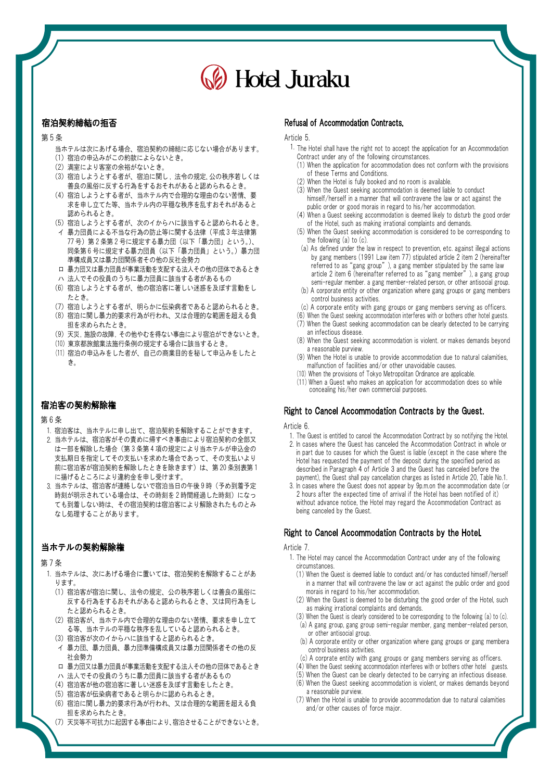# **B** Hotel Juraku

## **宿泊契約締結**<br>第 5 条 宿泊契約締結の拒否

- 当ホテルは次にあげる場合、宿泊契約の締結に応じない場合があります。 (1) 宿泊の申込みがこの約款によらないとき。
- (2) 満室により客室の余裕がないとき。
- (3) 宿泊しようとする者が、宿泊に関し , 法令の規定、公の秩序若しくは
- 善良の風俗に反する行為をするおそれがあると認められるとき。
- (4) 宿泊しようとする者が、当ホテル内で合理的な理由のない苦情、要 求を申し立てた等、当ホテル内の平穏な秩序を乱すおそれがあると 認められるとき。 来を甲し立てた等、当ホテル内の平穏な秩序を乱すおそれがあると<br>- 認められるとき。<br>(5) 宿泊しようとする者が、次のイからハに該当すると認められるとき。<br>イ 暴力団員による不当な行為の防止等に関する法律(平成:1:1、1<br>- 暴力団員による不当な行為の防止!!下(2)下「■!下」!
- (5) 宿泊しようとする者が、次のイからハに該当すると認められるとき。
- 認められるとき。<br>(5) 宿泊しようとする者が、次のイからハに該当すると認められるとき。<br>イ 暴力団員による不当な行為の防止等に関する法律(平成3年法律第<br>77 号)第2条第2号に見上51mg(以下「暴力団」という。)、 (5) 宿泊しようとする者が、次のイからハに該当すると認められるとき。<br>イ 暴力団員による不当な行為の防止等に関する法律(平成3年法律第<br>77 号)第2条第2号に規定する暴力団(以下「暴力団」という。)<br>同条第6号に規定方需要力オの以下「暴力団員」という。)暴力団<br>同条第6号は農士団開大司具(以下「暴力団員」という。)暴力団 準構成員又は暴力団関係者その他の反社会勢力
- ロ 暴力団又は暴力団員が事業活動を支配する法人その他の団体であるとき ハ 法人でその役員のうちに暴力団員に該当する者があるもの
- (6) 宿泊しようとする者が、他の宿泊客に著しい迷惑を及ぼす言動をし
- たとき。 (7) 宿泊しようとする者が、明らかに伝染病者であると認められるとき。
- (8) 宿泊に関し暴力的要求行為が行われ、又は合理的な範囲を超える負 担を求められたとき。
- (9) 天災 ,施設の故障 ,その他やむを得ない事由により宿泊ができないとき。
- (10) 東京都旅館業法施行条例の規定する場合に該当するとき。
- (11) 宿泊の申込みをした者が、自己の商業目的を秘して申込みをしたと き。

## **宿泊客の契約**<br>第 6 条<br>- - - - - - - - - -宿泊客の契約解除権

- 1. 宿泊客は、当ホテルに申し出て、宿泊契約を解除することができます。
- 2. 当ホテルは、宿泊客がその責めに帰すべき事由により宿泊契約の全部又 第 6 条<br>1. 宿泊客は、当ホテルに申し出て、宿泊契約を解除することができます。<br>2. 当ホテルは、宿泊客がその責めに帰すべき事由により宿泊契約の全部又<br>は一部を解除した場合(第 3 条第 4 項の規定により当ホテルが申込金の 支払期日を指定してその支払いを求めた場合であって、その支払いより 当ホテルは、宿泊客がその責めに帰すべき事由により宿泊契約の全部又で、宿泊客がそのうちに帰すべき事由により宿泊契約の全部又と、<br>って部を解除した場合(第3条第4項の規定により当ホテルが申込金の<br>支払期日を指定してその支払いを求めた場合であって、その支払いより<br>前に宿泊客が宿泊契約を解除したときを除きます)は、第20条別表第1 に揚げるところにより違約金を申し受けます。 支払期日を指定してその支払いを求めた場合であって、その支払いより<br>前に宿泊客が宿泊契約を解除したときを除きます)は、第 20 条別表第 1<br>に揚げるところにより違約金を申し受けます。<br>当ホテルは、宿泊客が連絡しないで宿泊当日の午後 9 時(予め到着予定<br>##ホデル!!
- 3. 当ホー 前に宿泊客が宿泊契約を解除したときを除きます)は、第 20 条別表第 1<br>に揚げるところにより違約金を申し受けます。<br>当ホテルは、宿泊客が連絡しないで宿泊当日の午後 9 時(予め到着予定<br>時刻が明示されている場合は、その時刻を 2 時間経過 12 た時刻 1 年の<br>りが明示されている場合は、その時刻を 2 時間経過 12 たりねん 1 年 ても到着しない時は、その宿泊契約は宿泊客により解除されたものとみ なし処理することがあります。

## **当ホテルの契**<br>第 7 条<br><sub>第 7 第 1</sub> 。 当ホテルの契約解除権

- 1. 当ホテルは、次にあげる場合に置いては、宿泊契約を解除することがあ ります。
	- (1) 宿泊客が宿泊に関し、法令の規定、公の秩序若しくは善良の風俗に 反する行為をするおそれがあると認められるとき、又は同行為をし たと認められるとき。
	- (2) 宿泊客が、当ホテル内で合理的な理由のない苦情、要求を申し立て る等、当ホテルの平穏な秩序を乱していると認められるとき。 (3) 宿泊客が次のイからハに該当すると認められるとき。
	- イ 暴力団、暴力団員、暴力団準備構成員又は暴力団関係者その他の反 社会勢力
	- ロ 暴力団又は暴力団員が事業活動を支配する法人その他の団体であるとき
	- ハ 法人でその役員のうちに暴力団員に該当する者があるもの
	- (4) 宿泊客が他の宿泊客に著しい迷惑を及ぼす言動をしたとき。
	- (5)宿泊客が伝染病者であると明らかに認められるとき。
	- (6) 宿泊に関し暴力的要求行為が行われ、又は合理的な範囲を超える負 担を求められたとき。
	- (7) 天災等不可抗力に起因する事由により、宿泊させることができないとき。

#### Refusal of Accommodation Contracts.

#### Article 5.

- 1. The Hotel shall have the right not to accept the application for an Accommodation Contract under any of the following circumstances.
	- (1) When the application for accommodation does not conform with the provisions of these Terms and Conditions.
	- (2) When the Hotel is fully booked and no room is available.
	- (3) When the Guest seeking accommodation is deemed liable to conduct himself/herself in a manner that will contravene the law or act against the public order or good morais in regard to his/her accommodation.
	- (4) When a Guest seeking accommodation is deemed likely to disturb the good order of the Hotel, such as making irrational complaints and demands.
	- (5) When the Guest seeking accommodation is considered to be corresponding to the following (a) to (c).
	- (a) As defined under the law in respect to prevention, etc. against illegal actions by gang members (1991 Law item 77) stipulated article 2 item 2 (hereinafter referred to as "gang group"), a gang member stipulated by the same law article 2 item 6 (hereinafter referred to as "gang member"), a gang group
	- semi-regular member. a gang member-related person, or other antisocial group. (b) A corporate entity or other organization where gang groups or gang members control business activities.
	- (c) A corporate entity with gang groups or gang members serving as officers.
	- (6) When the Guest seeking accommodation interferes with or bothers other hotel guests. (7) When the Guest seeking accommodation can be clearly detected to be carrying
	- an infectious disease.
	- (8) When the Guest seeking accommodation is violent. or makes demands beyond a reasonable purview.
	- (9) When the Hotel is unable to provide accommodation due to natural calamities, malfunction of facilities and/or other unavoidable causes.
	- (10) When the provisions of Tokyo Metropolitan Ordinance are applicable.
- (11) When a Guest who makes an application for accommodation does so while concealing his/her own commercial purposes.

### Right to Cancel Accommodation Contracts by the Guest.

#### Article 6.

- 1. The Guest is entitled to cancel the Accommodation Contract by so notifying the Hotel.
- 2. In cases where the Guest has canceled the Accommodation Contract in whole or in part due to causes for which the Guest is liable (except in the case where the Hotel has requested the payment of the deposit during the specified period as described in Paragraph 4 of Article 3 and the Guest has canceled before the payment), the Guest shall pay cancellation charges as listed in Article 20, Table No.1.
- 3. In cases where the Guest does not appear by 9p.m.on the accommodation date (or 2 hours after the expected time of arrival if the Hotel has been notified of it) without advance notice, the Hotel may regard the Accommodation Contract as being canceled by the Guest.

### Right to Cancel Accommodation Contracts by the Hotel.

#### Article 7.

- 1. The Hotel may cancel the Accommodation Contract under any of the following circumstances.
	- (1) When the Guest is deemed liable to conduct and/or has conducted himself/herself in a manner that will contravene the law or act against the public order and good morais in regard to his/her accommodation.
	- (2) When the Guest is deemed to be disturbing the good order of the Hotel, such as making irrational complaints and demands.
	- (3) When the Guest is clearly considered to be corresponding to the following (a) to (c). (a) A gang group, gang group semi-regular member, gang member-related person, or other antisocial group.
	- (b) A corporate entity or other organization where gang groups or gang membera control business activities.
	- (c) A corprate entity with gang groups or gang members serving as officers.
	- (4) When the Guest seeking accommodation interferes with or bothers other hotel guests.
	- (5) When the Guest can be clearly detected to be carrying an infectious disease. (6) When the Guest seeking accommodation is violent, or makes demands beyond
	- a reasonable purview. (7) When the Hotel is unable to provide accommodation due to natural calamities
	- and/or other causes of force major.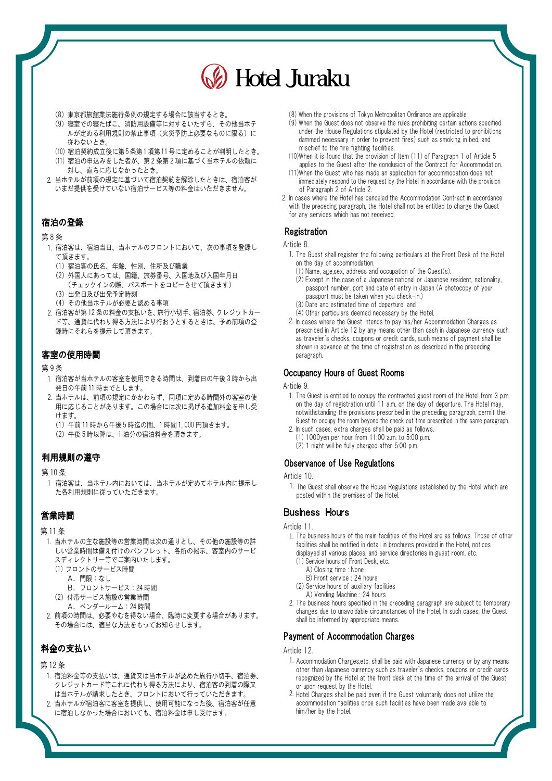# Hotel Juraku

- (8) 東京都旅館業法施行条例の規定する場合に該当するとき。
- (9) 寝室での寝たばこ、消防用設備等に対するいたずら、その他当ホテ ルが定める利用規則の禁止事項(火災予防上必要なものに限る)に 従わないとき。 (9) 寝室での寝たばこ、消防用設備等に対するいたすら、その他当ホテ<br>- ルが定める利用規則の禁止事項(火災予防上必要なものに限る)に<br>- 従わないとき。<br>(10) 宿泊契約成立後に第5条第1項第11号に定めることが判明したとき。<br>- (1)
- (10) 宿泊契約成立後に第5条第1項第11号に定めることが判明したとき。<br>(11) 宿泊の申込みをした者が、第2条第2項に基づく当ホテルの依頼に
- 対し、直ちに応じなかったとき。
- 2. 当ホテルが前項の規定に基づいて宿泊契約を解除したときは、宿泊客が いまだ提供を受けていない宿泊サービス等の料金はいただきません。

## **宿泊の登録**<br>第8条<br>、大いキンナ 宿泊の登録

- 1. 宿泊客は、宿泊当日、当ホテルのフロントにおいて、次の事項を登録し て頂きます。
	- (1) 宿泊客の氏名、年齢、性別、住所及び職業
	- (2) 外国人にあっては、国籍、旅券番号、入国地及び入国年月日 (チェックインの際、パスポートをコピーさせて頂きます)
	- (3) 出発日及び出発予定時刻
	- (4) その他当ホテルが必要と認める事項
- (チェックインの際、パスポートをコピーさせて頂きます)<br>(3)出発日及び出発予定時刻<br>(4)その他当ホテルが必要と認める事項<br>2. 宿泊客が第12 条の料金の支払いを、旅行小切手、宿泊券、クレジットカー<br>2. 宿泊客が第12 条の料金の支払いを、旅行小切手、宿泊券、クレジットカー ド等、通貨に代わり得る方法により行おうとするときは、予め前項の登 録時にそれらを提示して頂きます。

## 第 9 条 客室の使用時間

- 1 宿泊客が当ホテルの客室を使用できる時間は、到着日の午後 3 時から出 -<br>- ネ<br>宿泊客が当ホテルの客室を使用できる時間に<br>発日の午前 11 時までとしまいね。
- 2. 当ホテルは、前項の規定にかかわらず、同項に定める時間外の客室の使 用に応じることがあります。この場合には次に掲げる追加料金を申し受 けます。 当ホテルは、前項の規定にかかわらす、同項に定める時間外の客室の使<br>用に応じることがあります。この場合には次に掲げる追加料金を申し受<br>けます。<br>(1) 午前 11 時から午後5時迄の間、1 時間 1,000 円頂きます。
	- (1) 午前11 時から午後5時迄の間、1 時間1,000 円頂きます。<br>(2) 午後5 時以降は、1 泊分の宿泊料金を頂きます。
	-

## **利用規則の遵守**<br>第 10 条<br>第 10 条 利用規則の遵守

 1 宿泊客は、当ホテル内においては、当ホテルが定めてホテル内に提示し た各利用規則に従っていただきます。

## **営業時間**<br>第11条<br>第11.33 営業時間

- 1. 当ホテルの主な施設等の営業時間は次の通りとし、その他の施設等の詳 しい営業時間は備え付けのパンフレット、各所の掲示、客室内のサービ スディレクトリー等でご案内いたします。 当ホテルの主な施設等の宮業時間は次の<br>しい営業時間は備え付けのパンフレット<br>スディレクトリー等でご案内いたします<br>(1) フュントのサービス時間<br>
	- A.門限:なし (1)フロントのサービス時間<br>- A.門限:なし<br>- B.フロントサービス:24 時間
	- A.門限:なし<br>B.フロントサービス:24 時間<br>(2)付帯サービス施設の営業時間<br>- A.ベンダールーム:24 時間<br>- A.ベンダールーム:24 時間
	- (2) 付帯サービス施設の営業時間
		-
- 2. 前項の時間は、必要やむを得ない場合、臨時に変更する場合があります。 その場合には、適当な方法をもってお知らせします。

## **料金の支払い**<br>第 12 条<br>第 12 本以前には 料金の支払い

- 1. 宿泊料金等の支払いは、通貨又は当ホテルが認めた旅行小切手、宿泊券、 クレジットカード等これに代わり得る方法により、宿泊客の到着の際又 は当ホテルが請求したとき、フロントにおいて行っていただきます。
- 2. 当ホテルが宿泊客に客室を提供し、使用可能になった後、宿泊客が任意 に宿泊しなかった場合においても、宿泊料金は申し受けます。
- (8) When the provisions of Tokyo Metropolitan Ordinance are applicable.
- (9) When the Guest does not observe the rules prohibiting certain actions specified under the House Regulations stipulated by the Hotel (restricted to prohibitions dammed necessary in order to prevent fires) such as smoking in bed, and mischief to the fire fighting facilities.
- (10)When it is found that the provision of Item (11) of Paragraph 1 of Article 5 applies to the Guest after the conclusion of the Contract for Accommodation.
- (11)When the Guest who has made an application for accommodation does not immediately respond to the request by the Hotel in accordance with the provision of Paragraph 2 of Article 2.
- 2. In cases where the Hotel has canceled the Accommodation Contract in accordance with the preceding paragraph, the Hotel shall not be entitled to charge the Guest for any services which has not received.

#### **Registration**

#### Article 8

- 1. The Guest shall register the following particulars at the Front Desk of the Hotel on the day of accommodation.
	- (1) Name, age,sex, address and occupation of the Guest(s).
	- (2) Except in the case of a Japanese national or Japanese resident, nationality, passport number, port and date of entry in Japan (A photocopy of your passport must be taken when you check-in.) (3) Date and estimated time of departure, and
	- (4) Other particulars deemed necessary by the Hotel.
- 2. In cases where the Guest intends to pay his/her Accommodation Charges as prescribed in Article 12 by any means other than cash in Japanese currency such as traveler`s checks, coupons or credit cards, such means of payment shall be shown in advance at the time of registration as described in the preceding paragraph.

### Occupancy Hours of Guest Rooms

#### Article 9.

- 1. The Guest is entitled to occupy the contracted guest room of the Hotel from 3 p.m. on the day of registration until 11 a.m. on the day of departure. The Hotel may, notwithstanding the provisions prescribed in the preceding paragraph, permit the Guest to occupy the room beyond the check out time prescribed in the same paragraph.
- 2. In such cases, extra charges shall be paid as follows. (1) 1000yen per hour from 11:00 a.m. to 5:00 p.m.
	- (2) 1 night will be fully charged after 5:00 p.m.

### Observance of Use Regulations

#### Article 10.

 1. The Guest shall observe the House Regulations established by the Hotel which are posted within the premises of the Hotel.

### Business Hours

#### Article 11.

- 1. The business hours of the main facilities of the Hotel are as follows. Those of other facilities shall be notified in detail in brochures provided in the Hotel, notices displayed at various places, and service directories in guest room, etc.
	- (1) Service hours of Front Desk, etc.
		- A) Closing time : None
		- B) Front service : 24 hours
	- (2) Service hours of auxiliary facilities
	- A) Vending Machine : 24 hours
- 2. The business hours specified in the preceding paragraph are subject to temporary changes due to unavoidable circumstances of the Hotel, In such cases, the Guest shall be informed by appropriate means.

#### Payment of Accommodation Charges

#### Article 12

- 1. Accommodation Charges,etc. shall be paid with Japanese currency or by any means other than Japanese currency such as traveler`s checks, coupons or credit cards recognized by the Hotel at the front desk at the time of the arrival of the Guest or upon request by the Hotel.
- 2. Hotel Charges shall be paid even if the Guest voluntarily does not utilize the accommodation facilities once such facilities have been made available to him/her by the Hotel.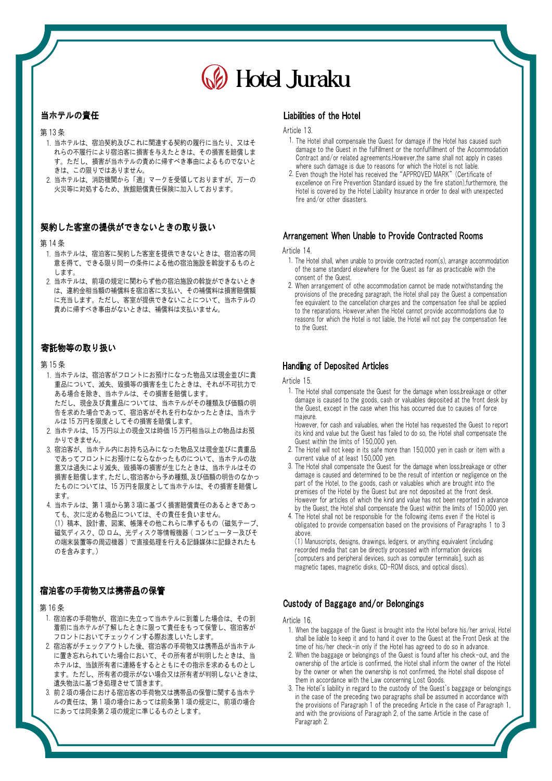# Hotel Juraku

## **当ホテルの責任**<br>第13条<br>第13 ※1 = 335 当ホテルの責任

- 1. 当ホテルは、宿泊契約及びこれに関連する契約の履行に当たり、又はそ れらの不履行により宿泊客に損害を与えたときは、その損害を賠償しま す。ただし、損害が当ホテルの責めに帰すべき事由によるものでないと きは、この限りではありません。
- 2. 当ホテルは、消防機関から「適」マークを受領しておりますが、万一の 火災等に対処するため、旅館賠償責任保険に加入しております。

## **契約した客室の**<br>第 14 条<br>第 14 次 - マン・コ 契約した客室の提供ができないときの取り扱い

- 1. 当ホテルは、宿泊客に契約した客室を提供できないときは、宿泊客の同 意を得て、できる限り同一の条件による他の宿泊施設を斡旋するものと します。
- 2. 当ホテルは、前項の規定に関わらず他の宿泊施設の斡旋ができないとき は、違約金相当額の補償料を宿泊客に支払い、その補償料は損害賠償額 に充当します。ただし、客室が提供できないことについて、当ホテルの 責めに帰すべき事由がないときは、補償料は支払いません。

## **寄託物等の取り**<br>第 15 条<br>第 15 条 寄託物等の取り扱い

- 1. 当ホテルは、宿泊客がフロントにお預けになった物品又は現金並びに貴 重品について、滅失、毀損等の損害を生じたときは、それが不可抗力で ある場合を除き、当ホテルは、その損害を賠償します。 ただし、現金及び貴重品については、当ホテルがその種類及び価額の明 告を求めた場合であって、宿泊客がそれを行わなかったときは、当ホテ ある場合を除き、当ホテルは、その損害を賠償します。<br>ただし、現金及び貴重品については、当ホテルがその種類及7<br>告を求めた場合であって、宿泊客がそれを行わなかったときに<br>ルは「……」<br>いいしかい ただし、現金及ひ貴重品については、当ホテルがその種類及び価額の明<br>告を求めた場合であって、宿泊客がそれを行わなかったときは、当ホテ<br>ルは 15 万円を限度としてその損害を賠償します。<br>当ホテルは、15 万円以上の現金又は時価 15 万円相当以上の物品はお預
- 2. 当ホテルは、15 万円以上の現金又は時価15 万円相当以上の物品はお預 かりできません。
- 3. 宿泊客が、当ホテル内にお持ち込みになった物品又は現金並びに貴重品 損害を賠償します。ただし、宿泊客から予め種類、及び価額の明告のなかっ<br>たものについては、15 万円を限度として当ホテルは、その損害を賠償し<br>ます。<br>4. 当ホテルは、第1項から第3項に基づく損害賠償責任のあるときであっ であってフロントにお預けにならなかったものについて、当ホテルの故 意又は過失により滅失、毀損等の損害が生じたときは、当ホテルはその 損害を賠償します。ただし、宿泊客から予め種類、及び価額の明告のなかっ であってフロントにお預けにならなかったものについて、当ホテルの故<br>意又は過失により滅失、毀損等の損害が生じたときは、当ホテルはその<br>損害を賠償します。ただし、宿泊客から予め種類、及び価額の明告のなかっ<br>たものについては、15 万円を限度として当ホテルは、その損害を賠償し ます。
	- ても、次に定める物品については、その責任を負いません。 (1) 稿本、設計書、図案、帳簿その他これらに準ずるもの(磁気テープ、 当ホテルは、第1項から第3項に基つく損害賠償責任のあるときであっ<br>ても、次に定める物品については、その責任を負いません。<br>(1)稿本、設計書、図案、帳簿その他これらに準ずるもの(磁気テープ、<br>磁気ディスク、CD ロム、光ディスク等情報機器(コンピュニター及びそ<br> 磁気ディスク、CD ロム、光ディスク等情報機器(コンピューター及びそ<br>の端末装置等の周辺機器 ) で直接処理を行える記録媒体に記録されたも のを含みます。)

## **宿泊客の手荷物**<br>第 16 条 宿泊客の手荷物又は携帯品の保管

- 1. 宿泊客の手荷物が、宿泊に先立って当ホテルに到着した場合は、その到 着前に当ホテルが了解したときに限って責任をもって保管し、宿泊客が フロントにおいてチェックインする際お渡しいたします。
- 2. 宿泊客がチェックアウトした後、宿泊客の手荷物又は携帯品が当ホテル に置き忘れられていた場合において、その所有者が判明したときは、当 ホテルは、当該所有者に連絡をするとともにその指示を求めるものとし ます。ただし、所有者の提示がない場合又は所有者が判明しないときは、 遺失物法に基づき処理させて頂きます。 ホテルは、当該所有者に連絡をするとともにその指示を求めるものとし<br>ます。ただし、所有者の提示がない場合又は所有者が判明しないときは、<br>遺失物法に基づき処理させて頂きます。<br>前2項の場合における宿泊客の手荷物又は携帯品の保管に関する当ホテ<br>
- 3. 前2項の場合における宿泊客の手荷物又は携帯品の保管に関する当ホテ ルの責任は、第 1 項の場合にあっては前条第 1 項の規定に、前項の場合 にあっては同条第 2 項の規定に準じるものとします。

#### Liabilities of the Hotel

Article 13.

- 1. The Hotel shall compensale the Guest for damage if the Hotel has caused such damage to the Guest in the fulfillment or the nonfulfillment of the Accommodation Contract and/or related agreements.However,the same shall not apply in cases where such damage is due to reasons for which the Hotel is not liable
- 2. Even though the Hotel has received the "APPROVED MARK"(Certificate of excellence on Fire Prevention Standard issued by the fire station), furthermore, the Hotel is covered by the Hotel Liability Insurance in order to deal with unexpected fire and/or other disasters.

### Arrangement When Unable to Provide Contracted Rooms

#### Article 14.

- 1. The Hotel shall, when unable to provide contracted room(s), arrange accommodation of the same standard elsewhere for the Guest as far as practicable with the consent of the Guest.
- 2. When arrangement of othe accommodation cannot be made notwithstanding the provisions of the preceding paragraph, the Hotel shall pay the Guest a compensation fee equivalent to the cancellation charges and the compensation fee shall be applied to the reparations. However,when the Hotel cannot provide accommodations due to reasons for which the Hotel is not liable, the Hotel will not pay the compensation fee to the Guest.

### Handling of Deposited Articles

Article 15.

 1. The Hotel shall compensate the Guest for the damage when loss,breakage or other damage is caused to the goods, cash or valuables deposited at the front desk by the Guest, except in the case when this has occurred due to causes of force majeure.

However, for cash and valuables, when the Hotel has requested the Guest to report its kind and value but the Guest has failed to do so, the Hotel shall compensate the Guest within the limits of 150,000 yen.

- 2. The Hotel will not keep in its safe more than 150,000 yen in cash or item with a current value of at least 150,000 yen.
- 3. The Hotel shall compensate the Guest for the damage when loss,breakage or other damage is caused and determined to be the result of intention or negligence on the part of the Hotel, to the goods, cash or valuables which are brought into the premises of the Hotel by the Guest but are not deposited at the front desk. However for articles of which the kind and value has not been reported in advance by the Guest, the Hotel shall compensate the Guest within the limits of 150,000 yen.
- 4. The Hotel shall not be responsible for the following items even if the Hotel is obligated to provide compensation based on the provisions of Paragraphs 1 to 3 above.

(1) Manuscripts, designs, drawings, ledgers, or anything equivalent (including recorded media that can be directly processed with information devices [computers and peripheral devices, such as computer terminals], such as magnetic tapes, magnetic disks, CD-ROM discs, and optical discs).

#### Custody of Baggage and/or Belongings

Article 16.

- 1. When the baggage of the Guest is brought into the Hotel before his/her arrival, Hotel shall be liable to keep it and to hand it over to the Guest at the Front Desk at the time of his/her check-in only if the Hotel has agreed to do so in advance.
- 2. When the baggage or belongings of the Guest is found after his check-out, and the ownership of the article is confirmed, the Hotel shall inform the owner of the Hotel by the owner or when the ownership is not confirmed, the Hotel shall dispose of them in accordance with the Law concerning Lost Goods.
- 3. The Hotel`s liability in regard to the custody of the Guest`s baggage or belongings in the case of the preceding two paragraphs shall be assumed in accordance with the provisions of Paragraph 1 of the preceding Article in the case of Paragraph 1, and with the provisions of Paragraph 2, of the same Article in the case of Paragraph 2.